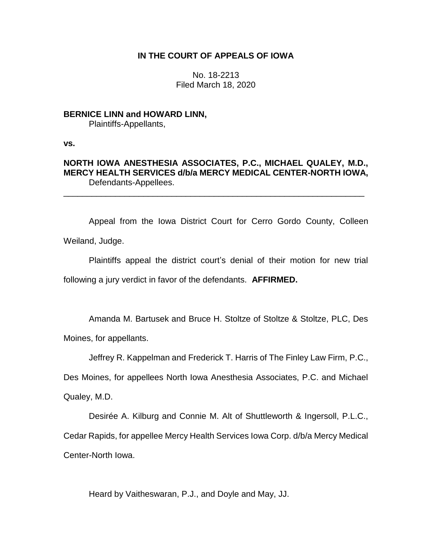## **IN THE COURT OF APPEALS OF IOWA**

No. 18-2213 Filed March 18, 2020

## **BERNICE LINN and HOWARD LINN,**

Plaintiffs-Appellants,

**vs.**

# **NORTH IOWA ANESTHESIA ASSOCIATES, P.C., MICHAEL QUALEY, M.D., MERCY HEALTH SERVICES d/b/a MERCY MEDICAL CENTER-NORTH IOWA,** Defendants-Appellees.

\_\_\_\_\_\_\_\_\_\_\_\_\_\_\_\_\_\_\_\_\_\_\_\_\_\_\_\_\_\_\_\_\_\_\_\_\_\_\_\_\_\_\_\_\_\_\_\_\_\_\_\_\_\_\_\_\_\_\_\_\_\_\_\_

Appeal from the Iowa District Court for Cerro Gordo County, Colleen Weiland, Judge.

Plaintiffs appeal the district court's denial of their motion for new trial following a jury verdict in favor of the defendants. **AFFIRMED.** 

Amanda M. Bartusek and Bruce H. Stoltze of Stoltze & Stoltze, PLC, Des

Moines, for appellants.

Jeffrey R. Kappelman and Frederick T. Harris of The Finley Law Firm, P.C.,

Des Moines, for appellees North Iowa Anesthesia Associates, P.C. and Michael

Qualey, M.D.

Desirée A. Kilburg and Connie M. Alt of Shuttleworth & Ingersoll, P.L.C., Cedar Rapids, for appellee Mercy Health Services Iowa Corp. d/b/a Mercy Medical Center-North Iowa.

Heard by Vaitheswaran, P.J., and Doyle and May, JJ.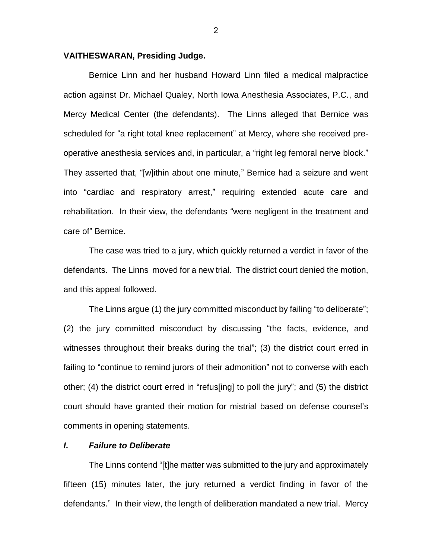### **VAITHESWARAN, Presiding Judge.**

Bernice Linn and her husband Howard Linn filed a medical malpractice action against Dr. Michael Qualey, North Iowa Anesthesia Associates, P.C., and Mercy Medical Center (the defendants). The Linns alleged that Bernice was scheduled for "a right total knee replacement" at Mercy, where she received preoperative anesthesia services and, in particular, a "right leg femoral nerve block." They asserted that, "[w]ithin about one minute," Bernice had a seizure and went into "cardiac and respiratory arrest," requiring extended acute care and rehabilitation. In their view, the defendants "were negligent in the treatment and care of" Bernice.

The case was tried to a jury, which quickly returned a verdict in favor of the defendants. The Linns moved for a new trial. The district court denied the motion, and this appeal followed.

The Linns argue (1) the jury committed misconduct by failing "to deliberate"; (2) the jury committed misconduct by discussing "the facts, evidence, and witnesses throughout their breaks during the trial"; (3) the district court erred in failing to "continue to remind jurors of their admonition" not to converse with each other; (4) the district court erred in "refus[ing] to poll the jury"; and (5) the district court should have granted their motion for mistrial based on defense counsel's comments in opening statements.

### *I***.** *Failure to Deliberate*

The Linns contend "[t]he matter was submitted to the jury and approximately fifteen (15) minutes later, the jury returned a verdict finding in favor of the defendants." In their view, the length of deliberation mandated a new trial. Mercy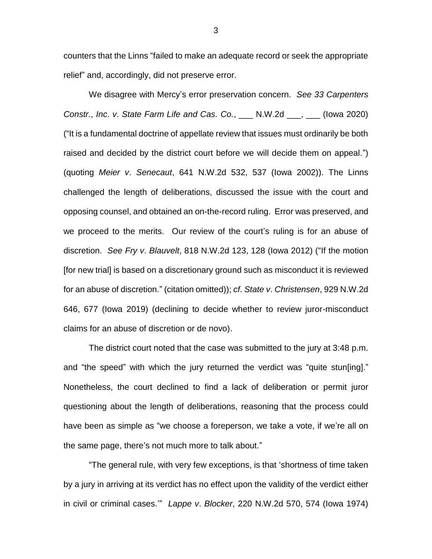counters that the Linns "failed to make an adequate record or seek the appropriate relief" and, accordingly, did not preserve error.

We disagree with Mercy's error preservation concern. *See 33 Carpenters Constr.*, *Inc*. *v*. *State Farm Life and Cas. Co.*, \_\_\_ N.W.2d \_\_\_, \_\_\_ (Iowa 2020) ("It is a fundamental doctrine of appellate review that issues must ordinarily be both raised and decided by the district court before we will decide them on appeal.") (quoting *Meier v*. *Senecaut*, 641 N.W.2d 532, 537 (Iowa 2002)). The Linns challenged the length of deliberations, discussed the issue with the court and opposing counsel, and obtained an on-the-record ruling. Error was preserved, and we proceed to the merits. Our review of the court's ruling is for an abuse of discretion. *See Fry v*. *Blauvelt*, 818 N.W.2d 123, 128 (Iowa 2012) ("If the motion [for new trial] is based on a discretionary ground such as misconduct it is reviewed for an abuse of discretion." (citation omitted)); *cf*. *State v*. *Christensen*, 929 N.W.2d 646, 677 (Iowa 2019) (declining to decide whether to review juror-misconduct claims for an abuse of discretion or de novo).

The district court noted that the case was submitted to the jury at 3:48 p.m. and "the speed" with which the jury returned the verdict was "quite stun[ing]." Nonetheless, the court declined to find a lack of deliberation or permit juror questioning about the length of deliberations, reasoning that the process could have been as simple as "we choose a foreperson, we take a vote, if we're all on the same page, there's not much more to talk about."

"The general rule, with very few exceptions, is that 'shortness of time taken by a jury in arriving at its verdict has no effect upon the validity of the verdict either in civil or criminal cases.'" *Lappe v*. *Blocker*, 220 N.W.2d 570, 574 (Iowa 1974)

3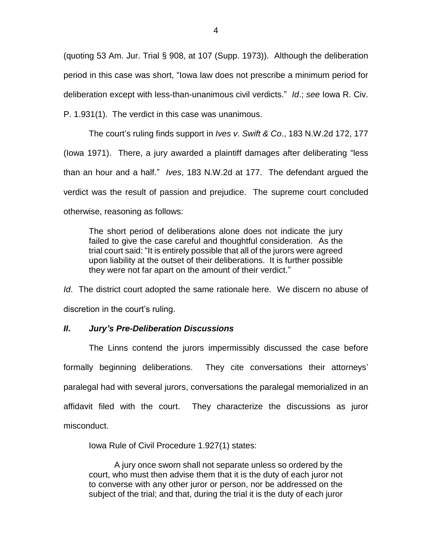(quoting 53 Am. Jur. Trial § 908, at 107 (Supp. 1973)). Although the deliberation period in this case was short, "Iowa law does not prescribe a minimum period for deliberation except with less-than-unanimous civil verdicts." *Id*.; *see* Iowa R. Civ. P. 1.931(1). The verdict in this case was unanimous.

The court's ruling finds support in *Ives v*. *Swift & Co*., 183 N.W.2d 172, 177 (Iowa 1971). There, a jury awarded a plaintiff damages after deliberating "less than an hour and a half." *Ives*, 183 N.W.2d at 177. The defendant argued the verdict was the result of passion and prejudice. The supreme court concluded otherwise, reasoning as follows:

The short period of deliberations alone does not indicate the jury failed to give the case careful and thoughtful consideration. As the trial court said: "It is entirely possible that all of the jurors were agreed upon liability at the outset of their deliberations. It is further possible they were not far apart on the amount of their verdict."

*Id*. The district court adopted the same rationale here. We discern no abuse of discretion in the court's ruling.

# *II***.** *Jury's Pre-Deliberation Discussions*

The Linns contend the jurors impermissibly discussed the case before formally beginning deliberations. They cite conversations their attorneys' paralegal had with several jurors, conversations the paralegal memorialized in an affidavit filed with the court. They characterize the discussions as juror misconduct.

Iowa Rule of Civil Procedure 1.927(1) states:

A jury once sworn shall not separate unless so ordered by the court, who must then advise them that it is the duty of each juror not to converse with any other juror or person, nor be addressed on the subject of the trial; and that, during the trial it is the duty of each juror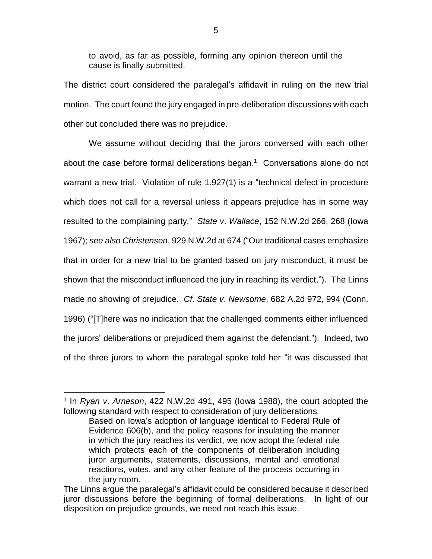to avoid, as far as possible, forming any opinion thereon until the cause is finally submitted.

The district court considered the paralegal's affidavit in ruling on the new trial motion. The court found the jury engaged in pre-deliberation discussions with each other but concluded there was no prejudice.

We assume without deciding that the jurors conversed with each other about the case before formal deliberations began. 1 Conversations alone do not warrant a new trial. Violation of rule 1.927(1) is a "technical defect in procedure which does not call for a reversal unless it appears prejudice has in some way resulted to the complaining party." *State v*. *Wallace*, 152 N.W.2d 266, 268 (Iowa 1967); *see also Christensen*, 929 N.W.2d at 674 ("Our traditional cases emphasize that in order for a new trial to be granted based on jury misconduct, it must be shown that the misconduct influenced the jury in reaching its verdict."). The Linns made no showing of prejudice. *Cf*. *State v*. *Newsome*, 682 A.2d 972, 994 (Conn. 1996) ("[T]here was no indication that the challenged comments either influenced the jurors' deliberations or prejudiced them against the defendant."). Indeed, two of the three jurors to whom the paralegal spoke told her "it was discussed that

 $\overline{a}$ 

<sup>1</sup> In *Ryan v*. *Arneson*, 422 N.W.2d 491, 495 (Iowa 1988), the court adopted the following standard with respect to consideration of jury deliberations:

Based on Iowa's adoption of language identical to Federal Rule of Evidence 606(b), and the policy reasons for insulating the manner in which the jury reaches its verdict, we now adopt the federal rule which protects each of the components of deliberation including juror arguments, statements, discussions, mental and emotional reactions, votes, and any other feature of the process occurring in the jury room.

The Linns argue the paralegal's affidavit could be considered because it described juror discussions before the beginning of formal deliberations. In light of our disposition on prejudice grounds, we need not reach this issue.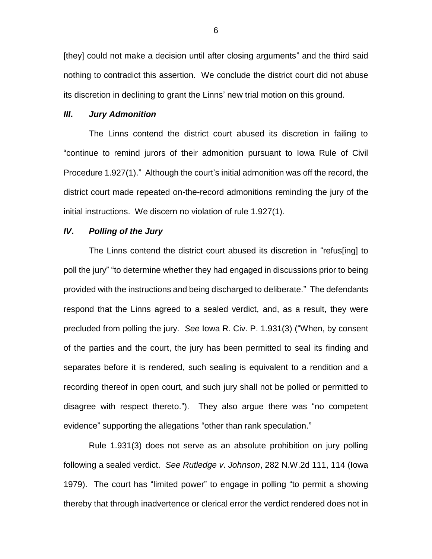[they] could not make a decision until after closing arguments" and the third said nothing to contradict this assertion. We conclude the district court did not abuse its discretion in declining to grant the Linns' new trial motion on this ground.

### *III***.** *Jury Admonition*

The Linns contend the district court abused its discretion in failing to "continue to remind jurors of their admonition pursuant to Iowa Rule of Civil Procedure 1.927(1)." Although the court's initial admonition was off the record, the district court made repeated on-the-record admonitions reminding the jury of the initial instructions. We discern no violation of rule 1.927(1).

### *IV***.** *Polling of the Jury*

The Linns contend the district court abused its discretion in "refus[ing] to poll the jury" "to determine whether they had engaged in discussions prior to being provided with the instructions and being discharged to deliberate." The defendants respond that the Linns agreed to a sealed verdict, and, as a result, they were precluded from polling the jury.*See* Iowa R. Civ. P. 1.931(3) ("When, by consent of the parties and the court, the jury has been permitted to seal its finding and separates before it is rendered, such sealing is equivalent to a rendition and a recording thereof in open court, and such jury shall not be polled or permitted to disagree with respect thereto."). They also argue there was "no competent evidence" supporting the allegations "other than rank speculation."

Rule 1.931(3) does not serve as an absolute prohibition on jury polling following a sealed verdict. *See Rutledge v*. *Johnson*, 282 N.W.2d 111, 114 (Iowa 1979). The court has "limited power" to engage in polling "to permit a showing thereby that through inadvertence or clerical error the verdict rendered does not in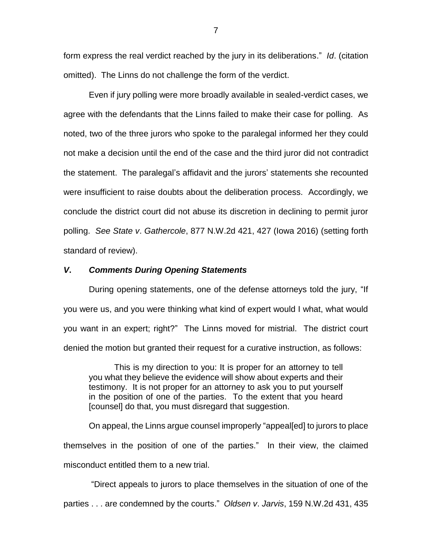form express the real verdict reached by the jury in its deliberations." *Id*. (citation omitted). The Linns do not challenge the form of the verdict.

Even if jury polling were more broadly available in sealed-verdict cases, we agree with the defendants that the Linns failed to make their case for polling. As noted, two of the three jurors who spoke to the paralegal informed her they could not make a decision until the end of the case and the third juror did not contradict the statement. The paralegal's affidavit and the jurors' statements she recounted were insufficient to raise doubts about the deliberation process. Accordingly, we conclude the district court did not abuse its discretion in declining to permit juror polling. *See State v*. *Gathercole*, 877 N.W.2d 421, 427 (Iowa 2016) (setting forth standard of review).

### *V***.** *Comments During Opening Statements*

During opening statements, one of the defense attorneys told the jury, "If you were us, and you were thinking what kind of expert would I what, what would you want in an expert; right?" The Linns moved for mistrial. The district court denied the motion but granted their request for a curative instruction, as follows:

This is my direction to you: It is proper for an attorney to tell you what they believe the evidence will show about experts and their testimony. It is not proper for an attorney to ask you to put yourself in the position of one of the parties. To the extent that you heard [counsel] do that, you must disregard that suggestion.

On appeal, the Linns argue counsel improperly "appeal[ed] to jurors to place themselves in the position of one of the parties." In their view, the claimed misconduct entitled them to a new trial.

"Direct appeals to jurors to place themselves in the situation of one of the parties . . . are condemned by the courts." *Oldsen v*. *Jarvis*, 159 N.W.2d 431, 435